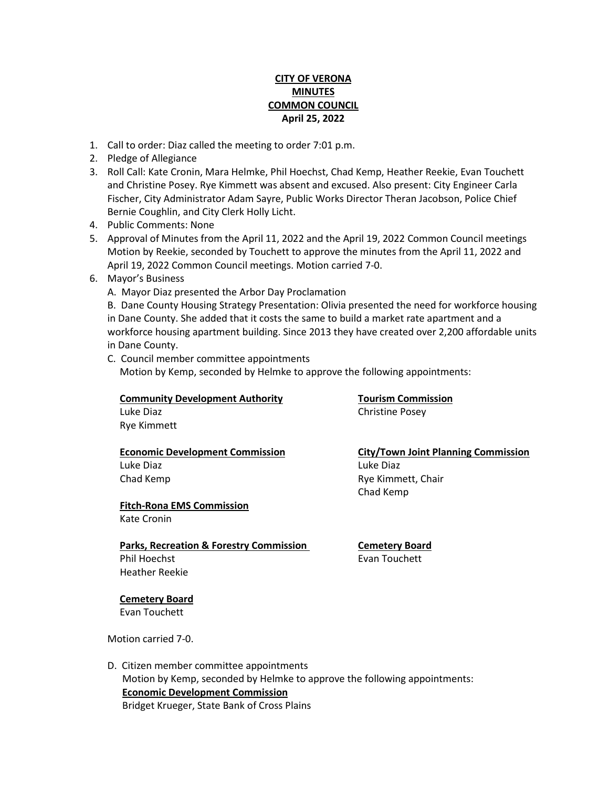# **CITY OF VERONA MINUTES COMMON COUNCIL April 25, 2022**

- 1. Call to order: Diaz called the meeting to order 7:01 p.m.
- 2. Pledge of Allegiance
- 3. Roll Call: Kate Cronin, Mara Helmke, Phil Hoechst, Chad Kemp, Heather Reekie, Evan Touchett and Christine Posey. Rye Kimmett was absent and excused. Also present: City Engineer Carla Fischer, City Administrator Adam Sayre, Public Works Director Theran Jacobson, Police Chief Bernie Coughlin, and City Clerk Holly Licht.
- 4. Public Comments: None
- 5. Approval of Minutes from the April 11, 2022 and the April 19, 2022 Common Council meetings Motion by Reekie, seconded by Touchett to approve the minutes from the April 11, 2022 and April 19, 2022 Common Council meetings. Motion carried 7-0.
- 6. Mayor's Business
	- A. Mayor Diaz presented the Arbor Day Proclamation

B. Dane County Housing Strategy Presentation: Olivia presented the need for workforce housing in Dane County. She added that it costs the same to build a market rate apartment and a workforce housing apartment building. Since 2013 they have created over 2,200 affordable units in Dane County.

C. Council member committee appointments Motion by Kemp, seconded by Helmke to approve the following appointments:

## **Community Development Authority <b>Tourism Commission**

Rye Kimmett

# Luke Diaz Luke Diaz

#### **Fitch-Rona EMS Commission** Kate Cronin

**Parks, Recreation & Forestry Commission Cemetery Board** Phil Hoechst **Evan Touchett** Heather Reekie

Luke Diaz **Christine Posey** 

 **Economic Development Commission City/Town Joint Planning Commission** Chad Kemp **Rye Kimmett**, Chair Chad Kemp

### **Cemetery Board** Evan Touchett

Motion carried 7-0.

D. Citizen member committee appointments Motion by Kemp, seconded by Helmke to approve the following appointments: **Economic Development Commission** Bridget Krueger, State Bank of Cross Plains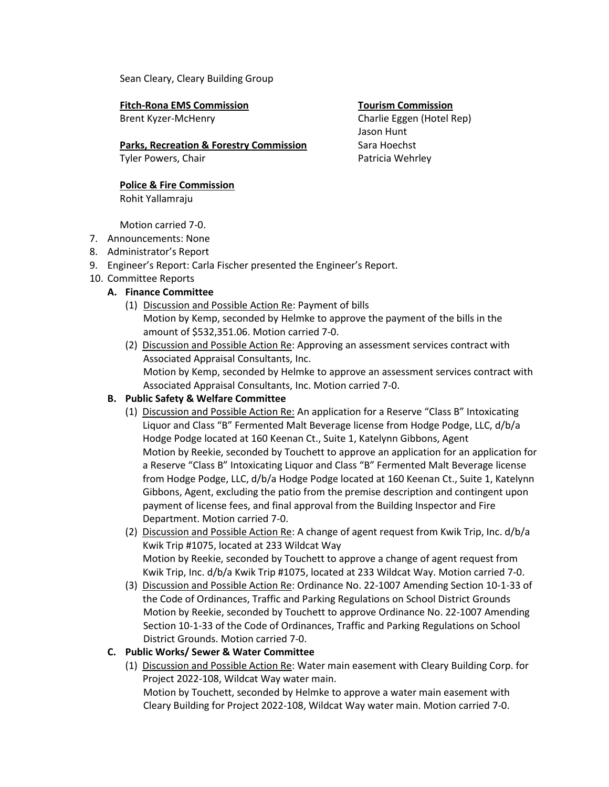Sean Cleary, Cleary Building Group

 **Fitch-Rona EMS Commission Tourism Commission** Brent Kyzer-McHenry Charlie Eggen (Hotel Rep)

# Parks, Recreation & Forestry Commission Sara Hoechst

Tyler Powers, Chair **Patricia Wehrley** Patricia Wehrley

 **Police & Fire Commission** Rohit Yallamraju

Motion carried 7-0.

- 7. Announcements: None
- 8. Administrator's Report
- 9. Engineer's Report: Carla Fischer presented the Engineer's Report.
- 10. Committee Reports
	- **A. Finance Committee**
		- (1) Discussion and Possible Action Re: Payment of bills Motion by Kemp, seconded by Helmke to approve the payment of the bills in the amount of \$532,351.06. Motion carried 7-0.
		- (2) Discussion and Possible Action Re: Approving an assessment services contract with Associated Appraisal Consultants, Inc. Motion by Kemp, seconded by Helmke to approve an assessment services contract with Associated Appraisal Consultants, Inc. Motion carried 7-0.

# **B. Public Safety & Welfare Committee**

- (1) Discussion and Possible Action Re: An application for a Reserve "Class B" Intoxicating Liquor and Class "B" Fermented Malt Beverage license from Hodge Podge, LLC, d/b/a Hodge Podge located at 160 Keenan Ct., Suite 1, Katelynn Gibbons, Agent Motion by Reekie, seconded by Touchett to approve an application for an application for a Reserve "Class B" Intoxicating Liquor and Class "B" Fermented Malt Beverage license from Hodge Podge, LLC, d/b/a Hodge Podge located at 160 Keenan Ct., Suite 1, Katelynn Gibbons, Agent, excluding the patio from the premise description and contingent upon payment of license fees, and final approval from the Building Inspector and Fire Department. Motion carried 7-0.
- (2) Discussion and Possible Action Re: A change of agent request from Kwik Trip, Inc. d/b/a Kwik Trip #1075, located at 233 Wildcat Way Motion by Reekie, seconded by Touchett to approve a change of agent request from Kwik Trip, Inc. d/b/a Kwik Trip #1075, located at 233 Wildcat Way. Motion carried 7-0.
- (3) Discussion and Possible Action Re: Ordinance No. 22-1007 Amending Section 10-1-33 of the Code of Ordinances, Traffic and Parking Regulations on School District Grounds Motion by Reekie, seconded by Touchett to approve Ordinance No. 22-1007 Amending Section 10-1-33 of the Code of Ordinances, Traffic and Parking Regulations on School District Grounds. Motion carried 7-0.

# **C. Public Works/ Sewer & Water Committee**

(1) Discussion and Possible Action Re: Water main easement with Cleary Building Corp. for Project 2022-108, Wildcat Way water main.

Motion by Touchett, seconded by Helmke to approve a water main easement with Cleary Building for Project 2022-108, Wildcat Way water main. Motion carried 7-0.

Jason Hunt